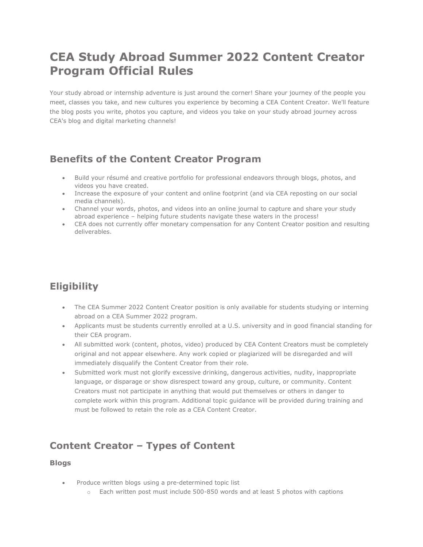# **CEA Study Abroad Summer 2022 Content Creator Program Official Rules**

Your study abroad or internship adventure is just around the corner! Share your journey of the people you meet, classes you take, and new cultures you experience by becoming a CEA Content Creator. We'll feature the blog posts you write, photos you capture, and videos you take on your study abroad journey across CEA's blog and digital marketing channels!

### **Benefits of the Content Creator Program**

- Build your résumé and creative portfolio for professional endeavors through blogs, photos, and videos you have created.
- Increase the exposure of your content and online footprint (and via CEA reposting on our social media channels).
- Channel your words, photos, and videos into an online journal to capture and share your study abroad experience – helping future students navigate these waters in the process!
- CEA does not currently offer monetary compensation for any Content Creator position and resulting deliverables.

# **Eligibility**

- The CEA Summer 2022 Content Creator position is only available for students studying or interning abroad on a CEA Summer 2022 program.
- Applicants must be students currently enrolled at a U.S. university and in good financial standing for their CEA program.
- All submitted work (content, photos, video) produced by CEA Content Creators must be completely original and not appear elsewhere. Any work copied or plagiarized will be disregarded and will immediately disqualify the Content Creator from their role.
- Submitted work must not glorify excessive drinking, dangerous activities, nudity, inappropriate language, or disparage or show disrespect toward any group, culture, or community. Content Creators must not participate in anything that would put themselves or others in danger to complete work within this program. Additional topic guidance will be provided during training and must be followed to retain the role as a CEA Content Creator.

## **Content Creator – Types of Content**

#### **Blogs**

- Produce written blogs using a pre-determined topic list
	- $\circ$  Each written post must include 500-850 words and at least 5 photos with captions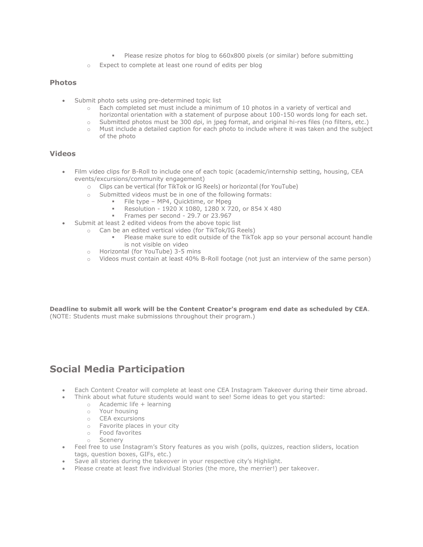- Please resize photos for blog to 660x800 pixels (or similar) before submitting
- o Expect to complete at least one round of edits per blog

#### **Photos**

- Submit photo sets using pre-determined topic list
	- o Each completed set must include a minimum of 10 photos in a variety of vertical and horizontal orientation with a statement of purpose about 100-150 words long for each set.
	- o Submitted photos must be 300 dpi, in jpeg format, and original hi-res files (no filters, etc.)
	- o Must include a detailed caption for each photo to include where it was taken and the subject of the photo

#### **Videos**

- Film video clips for B-Roll to include one of each topic (academic/internship setting, housing, CEA events/excursions/community engagement)
	- o Clips can be vertical (for TikTok or IG Reels) or horizontal (for YouTube)
	- o Submitted videos must be in one of the following formats:
		- File type MP4, Quicktime, or Mpeg
			- Resolution 1920 X 1080, 1280 X 720, or 854 X 480
			- Frames per second 29.7 or 23.967
- Submit at least 2 edited videos from the above topic list
	- o Can be an edited vertical video (for TikTok/IG Reels)
		- Please make sure to edit outside of the TikTok app so your personal account handle is not visible on video
	- o Horizontal (for YouTube) 3-5 mins
	- o Videos must contain at least 40% B-Roll footage (not just an interview of the same person)

**Deadline to submit all work will be the Content Creator's program end date as scheduled by CEA**. (NOTE: Students must make submissions throughout their program.)

### **Social Media Participation**

- Each Content Creator will complete at least one CEA Instagram Takeover during their time abroad.
	- Think about what future students would want to see! Some ideas to get you started:
		- $\circ$  Academic life + learning
			- o Your housing
			- o CEA excursions
			- o Favorite places in your city
		- o Food favorites
		- o Scenery
- Feel free to use Instagram's Story features as you wish (polls, quizzes, reaction sliders, location tags, question boxes, GIFs, etc.)
- Save all stories during the takeover in your respective city's Highlight.
- Please create at least five individual Stories (the more, the merrier!) per takeover.